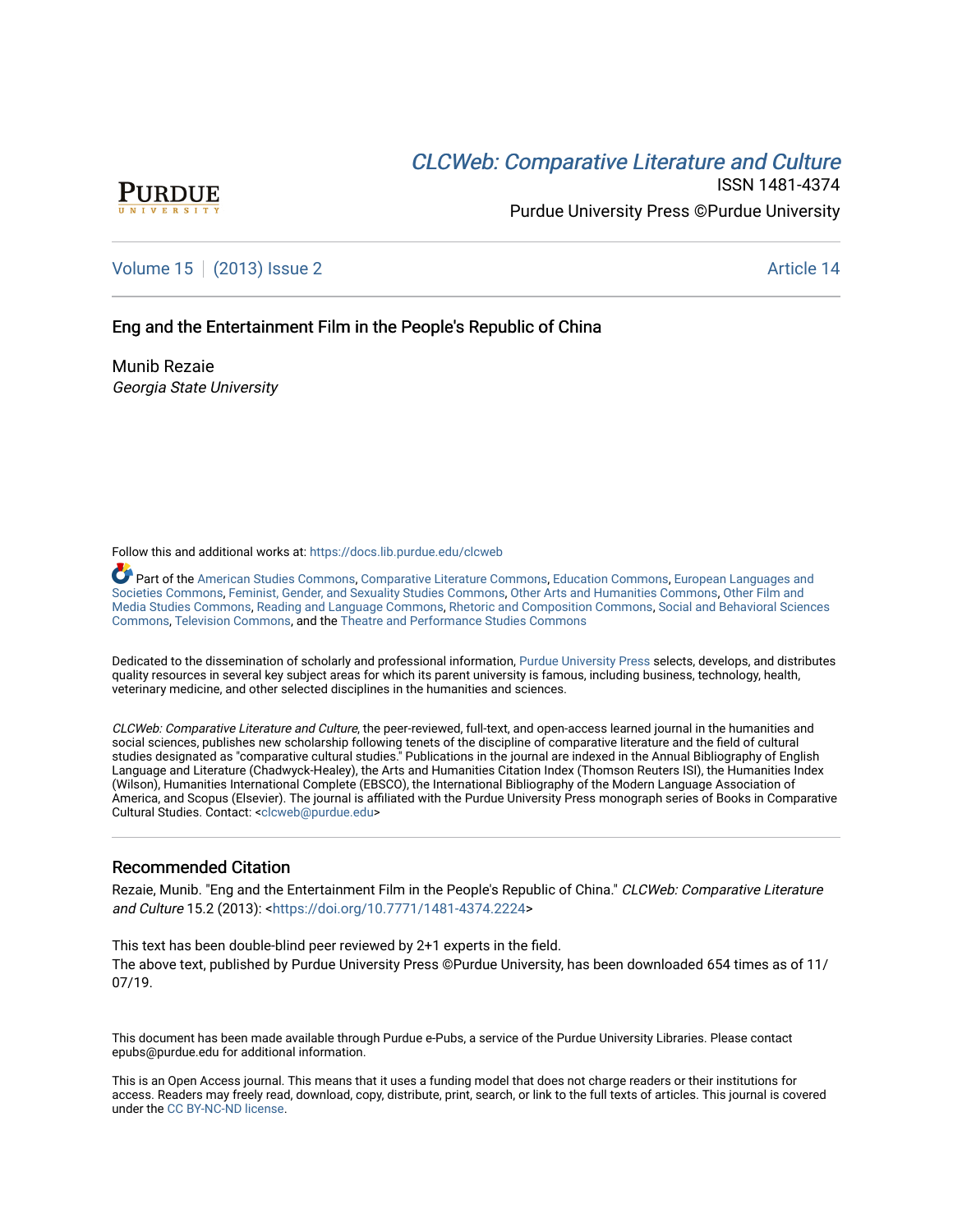# CLCW[eb: Comparative Liter](https://docs.lib.purdue.edu/clcweb)ature and Culture



ISSN 1481-4374 Purdue University Press ©Purdue University

## [Volume 15](https://docs.lib.purdue.edu/clcweb/vol15) | [\(2013\) Issue 2](https://docs.lib.purdue.edu/clcweb/vol15/iss2) Article 14

### Eng and the Entertainment Film in the People's Republic of China

Munib Rezaie Georgia State University

Follow this and additional works at: [https://docs.lib.purdue.edu/clcweb](https://docs.lib.purdue.edu/clcweb?utm_source=docs.lib.purdue.edu%2Fclcweb%2Fvol15%2Fiss2%2F14&utm_medium=PDF&utm_campaign=PDFCoverPages)

Part of the [American Studies Commons](http://network.bepress.com/hgg/discipline/439?utm_source=docs.lib.purdue.edu%2Fclcweb%2Fvol15%2Fiss2%2F14&utm_medium=PDF&utm_campaign=PDFCoverPages), [Comparative Literature Commons,](http://network.bepress.com/hgg/discipline/454?utm_source=docs.lib.purdue.edu%2Fclcweb%2Fvol15%2Fiss2%2F14&utm_medium=PDF&utm_campaign=PDFCoverPages) [Education Commons,](http://network.bepress.com/hgg/discipline/784?utm_source=docs.lib.purdue.edu%2Fclcweb%2Fvol15%2Fiss2%2F14&utm_medium=PDF&utm_campaign=PDFCoverPages) [European Languages and](http://network.bepress.com/hgg/discipline/482?utm_source=docs.lib.purdue.edu%2Fclcweb%2Fvol15%2Fiss2%2F14&utm_medium=PDF&utm_campaign=PDFCoverPages) [Societies Commons](http://network.bepress.com/hgg/discipline/482?utm_source=docs.lib.purdue.edu%2Fclcweb%2Fvol15%2Fiss2%2F14&utm_medium=PDF&utm_campaign=PDFCoverPages), [Feminist, Gender, and Sexuality Studies Commons,](http://network.bepress.com/hgg/discipline/559?utm_source=docs.lib.purdue.edu%2Fclcweb%2Fvol15%2Fiss2%2F14&utm_medium=PDF&utm_campaign=PDFCoverPages) [Other Arts and Humanities Commons](http://network.bepress.com/hgg/discipline/577?utm_source=docs.lib.purdue.edu%2Fclcweb%2Fvol15%2Fiss2%2F14&utm_medium=PDF&utm_campaign=PDFCoverPages), [Other Film and](http://network.bepress.com/hgg/discipline/565?utm_source=docs.lib.purdue.edu%2Fclcweb%2Fvol15%2Fiss2%2F14&utm_medium=PDF&utm_campaign=PDFCoverPages)  [Media Studies Commons](http://network.bepress.com/hgg/discipline/565?utm_source=docs.lib.purdue.edu%2Fclcweb%2Fvol15%2Fiss2%2F14&utm_medium=PDF&utm_campaign=PDFCoverPages), [Reading and Language Commons](http://network.bepress.com/hgg/discipline/1037?utm_source=docs.lib.purdue.edu%2Fclcweb%2Fvol15%2Fiss2%2F14&utm_medium=PDF&utm_campaign=PDFCoverPages), [Rhetoric and Composition Commons,](http://network.bepress.com/hgg/discipline/573?utm_source=docs.lib.purdue.edu%2Fclcweb%2Fvol15%2Fiss2%2F14&utm_medium=PDF&utm_campaign=PDFCoverPages) [Social and Behavioral Sciences](http://network.bepress.com/hgg/discipline/316?utm_source=docs.lib.purdue.edu%2Fclcweb%2Fvol15%2Fiss2%2F14&utm_medium=PDF&utm_campaign=PDFCoverPages) [Commons,](http://network.bepress.com/hgg/discipline/316?utm_source=docs.lib.purdue.edu%2Fclcweb%2Fvol15%2Fiss2%2F14&utm_medium=PDF&utm_campaign=PDFCoverPages) [Television Commons,](http://network.bepress.com/hgg/discipline/1143?utm_source=docs.lib.purdue.edu%2Fclcweb%2Fvol15%2Fiss2%2F14&utm_medium=PDF&utm_campaign=PDFCoverPages) and the [Theatre and Performance Studies Commons](http://network.bepress.com/hgg/discipline/552?utm_source=docs.lib.purdue.edu%2Fclcweb%2Fvol15%2Fiss2%2F14&utm_medium=PDF&utm_campaign=PDFCoverPages)

Dedicated to the dissemination of scholarly and professional information, [Purdue University Press](http://www.thepress.purdue.edu/) selects, develops, and distributes quality resources in several key subject areas for which its parent university is famous, including business, technology, health, veterinary medicine, and other selected disciplines in the humanities and sciences.

CLCWeb: Comparative Literature and Culture, the peer-reviewed, full-text, and open-access learned journal in the humanities and social sciences, publishes new scholarship following tenets of the discipline of comparative literature and the field of cultural studies designated as "comparative cultural studies." Publications in the journal are indexed in the Annual Bibliography of English Language and Literature (Chadwyck-Healey), the Arts and Humanities Citation Index (Thomson Reuters ISI), the Humanities Index (Wilson), Humanities International Complete (EBSCO), the International Bibliography of the Modern Language Association of America, and Scopus (Elsevier). The journal is affiliated with the Purdue University Press monograph series of Books in Comparative Cultural Studies. Contact: [<clcweb@purdue.edu](mailto:clcweb@purdue.edu)>

### Recommended Citation

Rezaie, Munib. "Eng and the Entertainment Film in the People's Republic of China." CLCWeb: Comparative Literature and Culture 15.2 (2013): [<https://doi.org/10.7771/1481-4374.2224>](https://doi.org/10.7771/1481-4374.2224)

This text has been double-blind peer reviewed by 2+1 experts in the field. The above text, published by Purdue University Press ©Purdue University, has been downloaded 654 times as of 11/ 07/19.

This document has been made available through Purdue e-Pubs, a service of the Purdue University Libraries. Please contact epubs@purdue.edu for additional information.

This is an Open Access journal. This means that it uses a funding model that does not charge readers or their institutions for access. Readers may freely read, download, copy, distribute, print, search, or link to the full texts of articles. This journal is covered under the [CC BY-NC-ND license.](https://creativecommons.org/licenses/by-nc-nd/4.0/)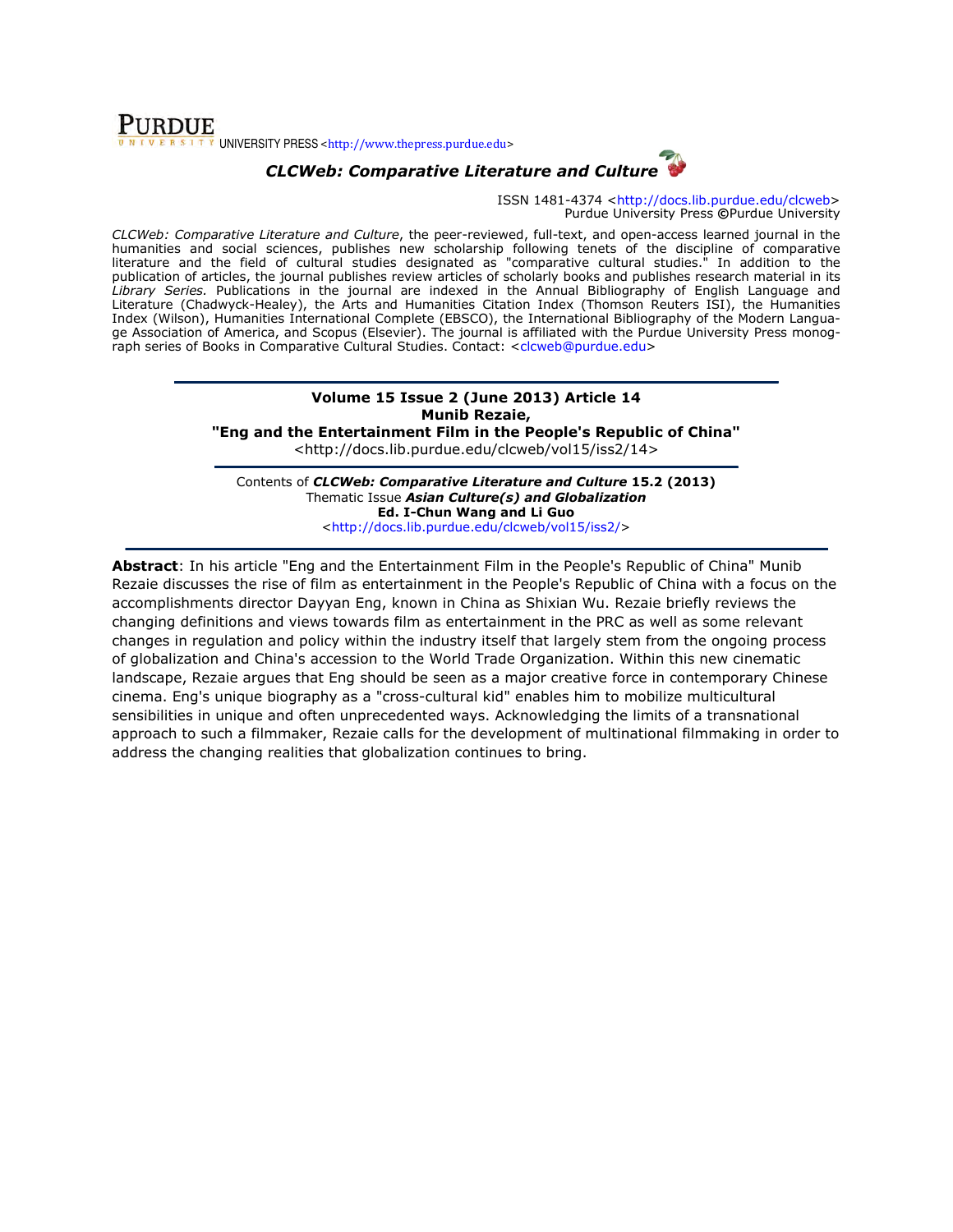### **PURDUE**  $T$ <sup>T</sup> UNIVERSITY PRESS <http://www.thepress.purdue.edu>



ISSN 1481-4374 <http://docs.lib.purdue.edu/clcweb> Purdue University Press ©Purdue University

CLCWeb: Comparative Literature and Culture, the peer-reviewed, full-text, and open-access learned journal in the humanities and social sciences, publishes new scholarship following tenets of the discipline of comparative literature and the field of cultural studies designated as "comparative cultural studies." In addition to the publication of articles, the journal publishes review articles of scholarly books and publishes research material in its Library Series. Publications in the journal are indexed in the Annual Bibliography of English Language and Literature (Chadwyck-Healey), the Arts and Humanities Citation Index (Thomson Reuters ISI), the Humanities Index (Wilson), Humanities International Complete (EBSCO), the International Bibliography of the Modern Language Association of America, and Scopus (Elsevier). The journal is affiliated with the Purdue University Press monograph series of Books in Comparative Cultural Studies. Contact: <clcweb@purdue.edu>

# Volume 15 Issue 2 (June 2013) Article 14 Munib Rezaie,

"Eng and the Entertainment Film in the People's Republic of China" <http://docs.lib.purdue.edu/clcweb/vol15/iss2/14>

Contents of CLCWeb: Comparative Literature and Culture 15.2 (2013) Thematic Issue Asian Culture(s) and Globalization Ed. I-Chun Wang and Li Guo <http://docs.lib.purdue.edu/clcweb/vol15/iss2/>

Abstract: In his article "Eng and the Entertainment Film in the People's Republic of China" Munib Rezaie discusses the rise of film as entertainment in the People's Republic of China with a focus on the accomplishments director Dayyan Eng, known in China as Shixian Wu. Rezaie briefly reviews the changing definitions and views towards film as entertainment in the PRC as well as some relevant changes in regulation and policy within the industry itself that largely stem from the ongoing process of globalization and China's accession to the World Trade Organization. Within this new cinematic landscape, Rezaie argues that Eng should be seen as a major creative force in contemporary Chinese cinema. Eng's unique biography as a "cross-cultural kid" enables him to mobilize multicultural sensibilities in unique and often unprecedented ways. Acknowledging the limits of a transnational approach to such a filmmaker, Rezaie calls for the development of multinational filmmaking in order to address the changing realities that globalization continues to bring.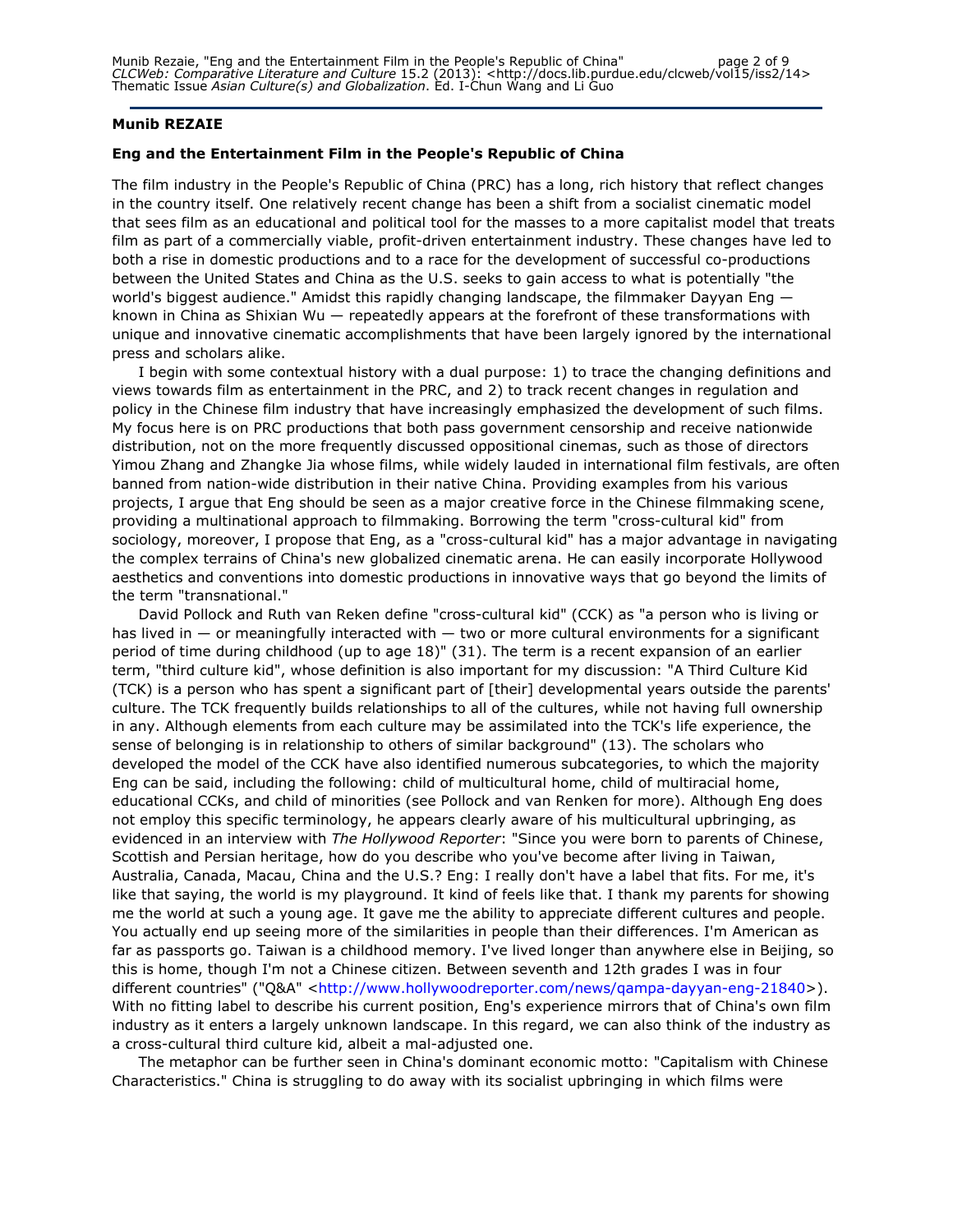#### Munib REZAIE

#### Eng and the Entertainment Film in the People's Republic of China

The film industry in the People's Republic of China (PRC) has a long, rich history that reflect changes in the country itself. One relatively recent change has been a shift from a socialist cinematic model that sees film as an educational and political tool for the masses to a more capitalist model that treats film as part of a commercially viable, profit-driven entertainment industry. These changes have led to both a rise in domestic productions and to a race for the development of successful co-productions between the United States and China as the U.S. seeks to gain access to what is potentially "the world's biggest audience." Amidst this rapidly changing landscape, the filmmaker Dayyan Eng known in China as Shixian Wu — repeatedly appears at the forefront of these transformations with unique and innovative cinematic accomplishments that have been largely ignored by the international press and scholars alike.

I begin with some contextual history with a dual purpose: 1) to trace the changing definitions and views towards film as entertainment in the PRC, and 2) to track recent changes in regulation and policy in the Chinese film industry that have increasingly emphasized the development of such films. My focus here is on PRC productions that both pass government censorship and receive nationwide distribution, not on the more frequently discussed oppositional cinemas, such as those of directors Yimou Zhang and Zhangke Jia whose films, while widely lauded in international film festivals, are often banned from nation-wide distribution in their native China. Providing examples from his various projects, I argue that Eng should be seen as a major creative force in the Chinese filmmaking scene, providing a multinational approach to filmmaking. Borrowing the term "cross-cultural kid" from sociology, moreover, I propose that Eng, as a "cross-cultural kid" has a major advantage in navigating the complex terrains of China's new globalized cinematic arena. He can easily incorporate Hollywood aesthetics and conventions into domestic productions in innovative ways that go beyond the limits of the term "transnational."

David Pollock and Ruth van Reken define "cross-cultural kid" (CCK) as "a person who is living or has lived in  $-$  or meaningfully interacted with  $-$  two or more cultural environments for a significant period of time during childhood (up to age 18)" (31). The term is a recent expansion of an earlier term, "third culture kid", whose definition is also important for my discussion: "A Third Culture Kid (TCK) is a person who has spent a significant part of [their] developmental years outside the parents' culture. The TCK frequently builds relationships to all of the cultures, while not having full ownership in any. Although elements from each culture may be assimilated into the TCK's life experience, the sense of belonging is in relationship to others of similar background" (13). The scholars who developed the model of the CCK have also identified numerous subcategories, to which the majority Eng can be said, including the following: child of multicultural home, child of multiracial home, educational CCKs, and child of minorities (see Pollock and van Renken for more). Although Eng does not employ this specific terminology, he appears clearly aware of his multicultural upbringing, as evidenced in an interview with The Hollywood Reporter: "Since you were born to parents of Chinese, Scottish and Persian heritage, how do you describe who you've become after living in Taiwan, Australia, Canada, Macau, China and the U.S.? Eng: I really don't have a label that fits. For me, it's like that saying, the world is my playground. It kind of feels like that. I thank my parents for showing me the world at such a young age. It gave me the ability to appreciate different cultures and people. You actually end up seeing more of the similarities in people than their differences. I'm American as far as passports go. Taiwan is a childhood memory. I've lived longer than anywhere else in Beijing, so this is home, though I'm not a Chinese citizen. Between seventh and 12th grades I was in four different countries" ("Q&A" <http://www.hollywoodreporter.com/news/qampa-dayyan-eng-21840>). With no fitting label to describe his current position, Eng's experience mirrors that of China's own film industry as it enters a largely unknown landscape. In this regard, we can also think of the industry as a cross-cultural third culture kid, albeit a mal-adjusted one.

The metaphor can be further seen in China's dominant economic motto: "Capitalism with Chinese Characteristics." China is struggling to do away with its socialist upbringing in which films were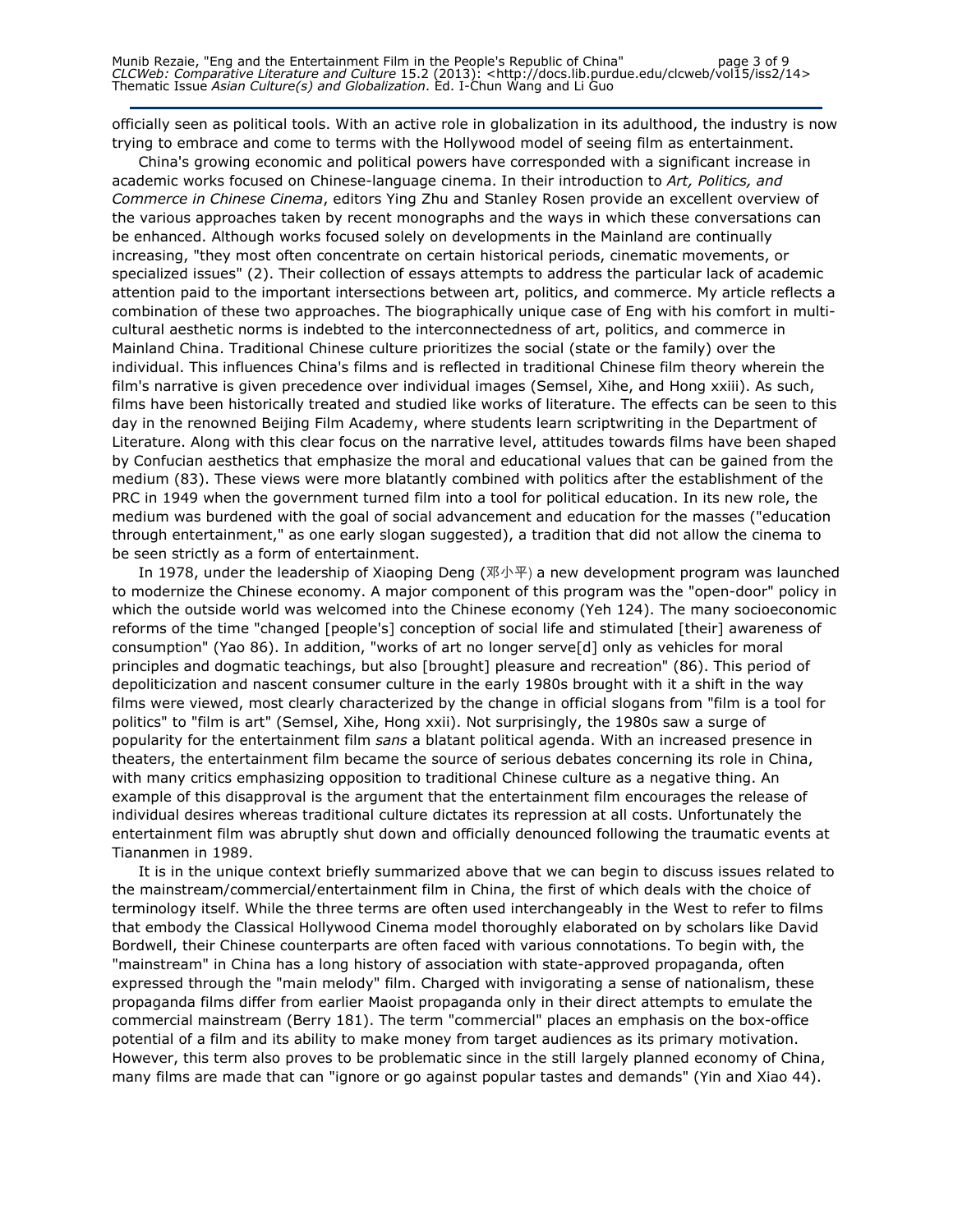Munib Rezaie, "Eng and the Entertainment Film in the People's Republic of China" page 3 of 9 CLCWeb: Comparative Literature and Culture 15.2 (2013): <http://docs.lib.purdue.edu/clcweb/vol15/iss2/14> Thematic Issue Asian Culture(s) and Globalization. Ed. I-Chun Wang and Li Guo

officially seen as political tools. With an active role in globalization in its adulthood, the industry is now trying to embrace and come to terms with the Hollywood model of seeing film as entertainment.

China's growing economic and political powers have corresponded with a significant increase in academic works focused on Chinese-language cinema. In their introduction to Art, Politics, and Commerce in Chinese Cinema, editors Ying Zhu and Stanley Rosen provide an excellent overview of the various approaches taken by recent monographs and the ways in which these conversations can be enhanced. Although works focused solely on developments in the Mainland are continually increasing, "they most often concentrate on certain historical periods, cinematic movements, or specialized issues" (2). Their collection of essays attempts to address the particular lack of academic attention paid to the important intersections between art, politics, and commerce. My article reflects a combination of these two approaches. The biographically unique case of Eng with his comfort in multicultural aesthetic norms is indebted to the interconnectedness of art, politics, and commerce in Mainland China. Traditional Chinese culture prioritizes the social (state or the family) over the individual. This influences China's films and is reflected in traditional Chinese film theory wherein the film's narrative is given precedence over individual images (Semsel, Xihe, and Hong xxiii). As such, films have been historically treated and studied like works of literature. The effects can be seen to this day in the renowned Beijing Film Academy, where students learn scriptwriting in the Department of Literature. Along with this clear focus on the narrative level, attitudes towards films have been shaped by Confucian aesthetics that emphasize the moral and educational values that can be gained from the medium (83). These views were more blatantly combined with politics after the establishment of the PRC in 1949 when the government turned film into a tool for political education. In its new role, the medium was burdened with the goal of social advancement and education for the masses ("education through entertainment," as one early slogan suggested), a tradition that did not allow the cinema to be seen strictly as a form of entertainment.

In 1978, under the leadership of Xiaoping Deng (邓小平) a new development program was launched to modernize the Chinese economy. A major component of this program was the "open-door" policy in which the outside world was welcomed into the Chinese economy (Yeh 124). The many socioeconomic reforms of the time "changed [people's] conception of social life and stimulated [their] awareness of consumption" (Yao 86). In addition, "works of art no longer serve[d] only as vehicles for moral principles and dogmatic teachings, but also [brought] pleasure and recreation" (86). This period of depoliticization and nascent consumer culture in the early 1980s brought with it a shift in the way films were viewed, most clearly characterized by the change in official slogans from "film is a tool for politics" to "film is art" (Semsel, Xihe, Hong xxii). Not surprisingly, the 1980s saw a surge of popularity for the entertainment film sans a blatant political agenda. With an increased presence in theaters, the entertainment film became the source of serious debates concerning its role in China, with many critics emphasizing opposition to traditional Chinese culture as a negative thing. An example of this disapproval is the argument that the entertainment film encourages the release of individual desires whereas traditional culture dictates its repression at all costs. Unfortunately the entertainment film was abruptly shut down and officially denounced following the traumatic events at Tiananmen in 1989.

It is in the unique context briefly summarized above that we can begin to discuss issues related to the mainstream/commercial/entertainment film in China, the first of which deals with the choice of terminology itself. While the three terms are often used interchangeably in the West to refer to films that embody the Classical Hollywood Cinema model thoroughly elaborated on by scholars like David Bordwell, their Chinese counterparts are often faced with various connotations. To begin with, the "mainstream" in China has a long history of association with state-approved propaganda, often expressed through the "main melody" film. Charged with invigorating a sense of nationalism, these propaganda films differ from earlier Maoist propaganda only in their direct attempts to emulate the commercial mainstream (Berry 181). The term "commercial" places an emphasis on the box-office potential of a film and its ability to make money from target audiences as its primary motivation. However, this term also proves to be problematic since in the still largely planned economy of China, many films are made that can "ignore or go against popular tastes and demands" (Yin and Xiao 44).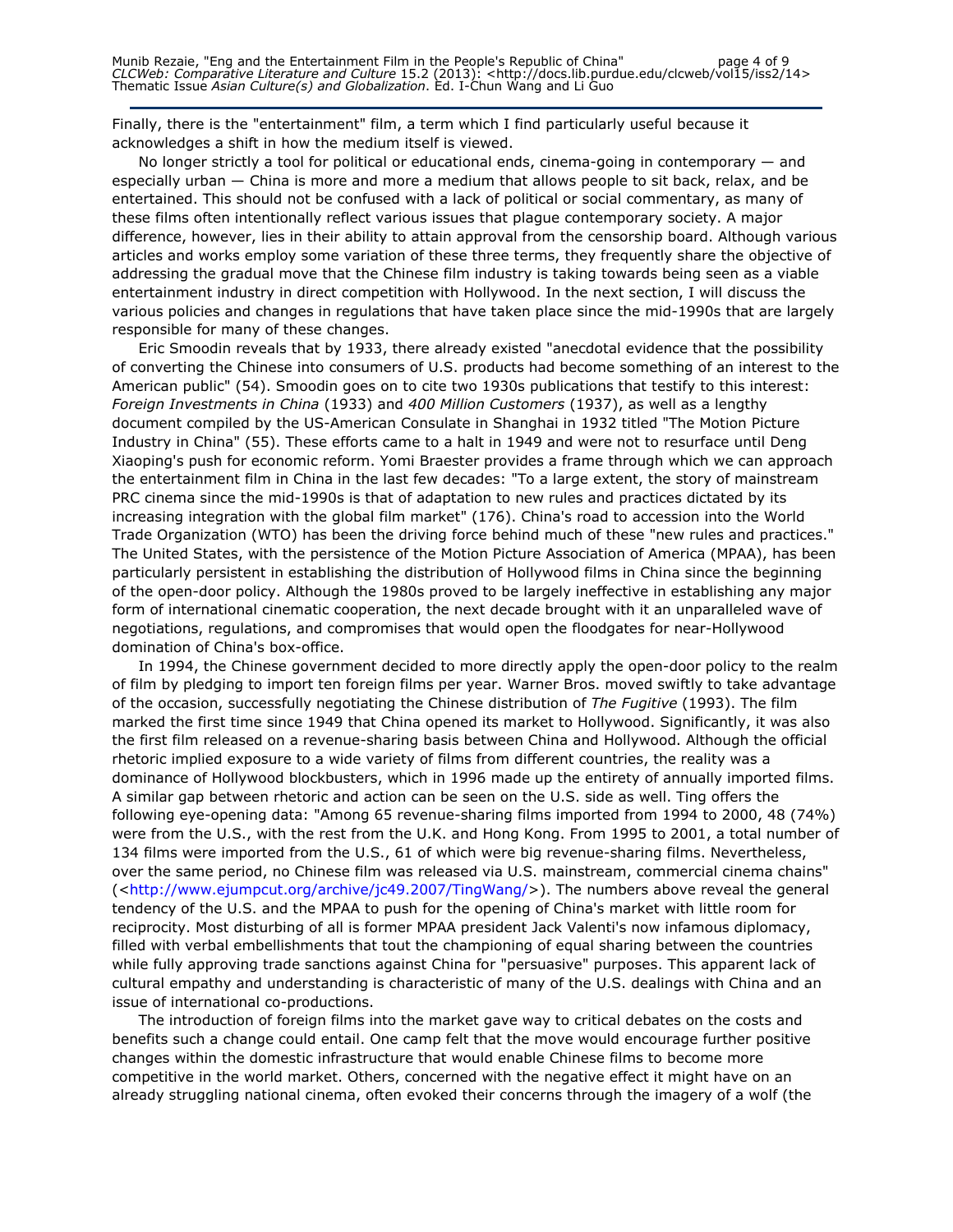Finally, there is the "entertainment" film, a term which I find particularly useful because it acknowledges a shift in how the medium itself is viewed.

No longer strictly a tool for political or educational ends, cinema-going in contemporary — and especially urban — China is more and more a medium that allows people to sit back, relax, and be entertained. This should not be confused with a lack of political or social commentary, as many of these films often intentionally reflect various issues that plague contemporary society. A major difference, however, lies in their ability to attain approval from the censorship board. Although various articles and works employ some variation of these three terms, they frequently share the objective of addressing the gradual move that the Chinese film industry is taking towards being seen as a viable entertainment industry in direct competition with Hollywood. In the next section, I will discuss the various policies and changes in regulations that have taken place since the mid-1990s that are largely responsible for many of these changes.

Eric Smoodin reveals that by 1933, there already existed "anecdotal evidence that the possibility of converting the Chinese into consumers of U.S. products had become something of an interest to the American public" (54). Smoodin goes on to cite two 1930s publications that testify to this interest: Foreign Investments in China (1933) and 400 Million Customers (1937), as well as a lengthy document compiled by the US-American Consulate in Shanghai in 1932 titled "The Motion Picture Industry in China" (55). These efforts came to a halt in 1949 and were not to resurface until Deng Xiaoping's push for economic reform. Yomi Braester provides a frame through which we can approach the entertainment film in China in the last few decades: "To a large extent, the story of mainstream PRC cinema since the mid-1990s is that of adaptation to new rules and practices dictated by its increasing integration with the global film market" (176). China's road to accession into the World Trade Organization (WTO) has been the driving force behind much of these "new rules and practices." The United States, with the persistence of the Motion Picture Association of America (MPAA), has been particularly persistent in establishing the distribution of Hollywood films in China since the beginning of the open-door policy. Although the 1980s proved to be largely ineffective in establishing any major form of international cinematic cooperation, the next decade brought with it an unparalleled wave of negotiations, regulations, and compromises that would open the floodgates for near-Hollywood domination of China's box-office.

In 1994, the Chinese government decided to more directly apply the open-door policy to the realm of film by pledging to import ten foreign films per year. Warner Bros. moved swiftly to take advantage of the occasion, successfully negotiating the Chinese distribution of The Fugitive (1993). The film marked the first time since 1949 that China opened its market to Hollywood. Significantly, it was also the first film released on a revenue-sharing basis between China and Hollywood. Although the official rhetoric implied exposure to a wide variety of films from different countries, the reality was a dominance of Hollywood blockbusters, which in 1996 made up the entirety of annually imported films. A similar gap between rhetoric and action can be seen on the U.S. side as well. Ting offers the following eye-opening data: "Among 65 revenue-sharing films imported from 1994 to 2000, 48 (74%) were from the U.S., with the rest from the U.K. and Hong Kong. From 1995 to 2001, a total number of 134 films were imported from the U.S., 61 of which were big revenue-sharing films. Nevertheless, over the same period, no Chinese film was released via U.S. mainstream, commercial cinema chains" (<http://www.ejumpcut.org/archive/jc49.2007/TingWang/>). The numbers above reveal the general tendency of the U.S. and the MPAA to push for the opening of China's market with little room for reciprocity. Most disturbing of all is former MPAA president Jack Valenti's now infamous diplomacy, filled with verbal embellishments that tout the championing of equal sharing between the countries while fully approving trade sanctions against China for "persuasive" purposes. This apparent lack of cultural empathy and understanding is characteristic of many of the U.S. dealings with China and an issue of international co-productions.

The introduction of foreign films into the market gave way to critical debates on the costs and benefits such a change could entail. One camp felt that the move would encourage further positive changes within the domestic infrastructure that would enable Chinese films to become more competitive in the world market. Others, concerned with the negative effect it might have on an already struggling national cinema, often evoked their concerns through the imagery of a wolf (the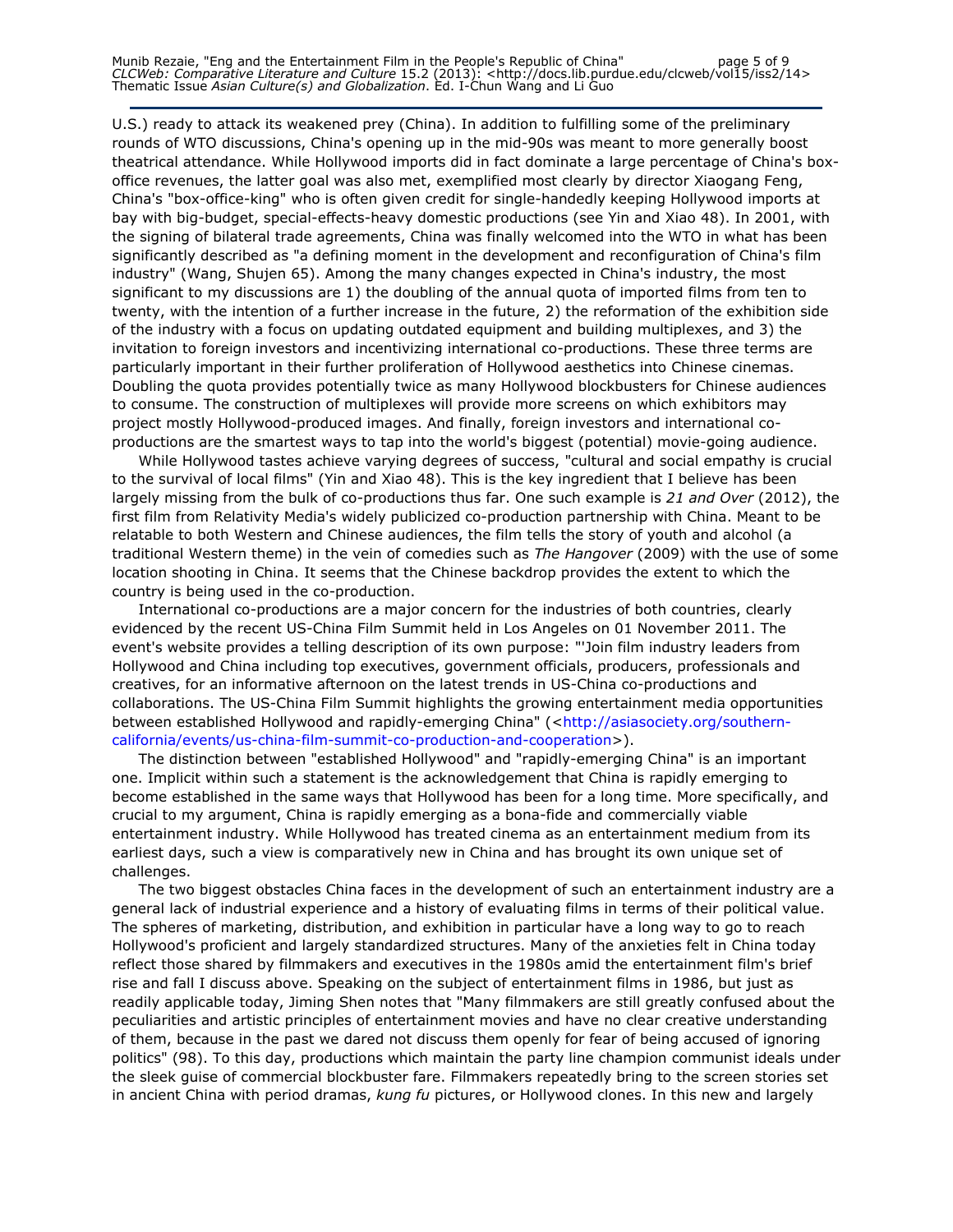Munib Rezaie, "Eng and the Entertainment Film in the People's Republic of China" page 5 of 9 CLCWeb: Comparative Literature and Culture 15.2 (2013): <http://docs.lib.purdue.edu/clcweb/vol15/iss2/14> Thematic Issue Asian Culture(s) and Globalization. Ed. I-Chun Wang and Li Guo

U.S.) ready to attack its weakened prey (China). In addition to fulfilling some of the preliminary rounds of WTO discussions, China's opening up in the mid-90s was meant to more generally boost theatrical attendance. While Hollywood imports did in fact dominate a large percentage of China's boxoffice revenues, the latter goal was also met, exemplified most clearly by director Xiaogang Feng, China's "box-office-king" who is often given credit for single-handedly keeping Hollywood imports at bay with big-budget, special-effects-heavy domestic productions (see Yin and Xiao 48). In 2001, with the signing of bilateral trade agreements, China was finally welcomed into the WTO in what has been significantly described as "a defining moment in the development and reconfiguration of China's film industry" (Wang, Shujen 65). Among the many changes expected in China's industry, the most significant to my discussions are 1) the doubling of the annual quota of imported films from ten to twenty, with the intention of a further increase in the future, 2) the reformation of the exhibition side of the industry with a focus on updating outdated equipment and building multiplexes, and 3) the invitation to foreign investors and incentivizing international co-productions. These three terms are particularly important in their further proliferation of Hollywood aesthetics into Chinese cinemas. Doubling the quota provides potentially twice as many Hollywood blockbusters for Chinese audiences to consume. The construction of multiplexes will provide more screens on which exhibitors may project mostly Hollywood-produced images. And finally, foreign investors and international coproductions are the smartest ways to tap into the world's biggest (potential) movie-going audience.

While Hollywood tastes achieve varying degrees of success, "cultural and social empathy is crucial to the survival of local films" (Yin and Xiao 48). This is the key ingredient that I believe has been largely missing from the bulk of co-productions thus far. One such example is 21 and Over (2012), the first film from Relativity Media's widely publicized co-production partnership with China. Meant to be relatable to both Western and Chinese audiences, the film tells the story of youth and alcohol (a traditional Western theme) in the vein of comedies such as The Hangover (2009) with the use of some location shooting in China. It seems that the Chinese backdrop provides the extent to which the country is being used in the co-production.

International co-productions are a major concern for the industries of both countries, clearly evidenced by the recent US-China Film Summit held in Los Angeles on 01 November 2011. The event's website provides a telling description of its own purpose: "'Join film industry leaders from Hollywood and China including top executives, government officials, producers, professionals and creatives, for an informative afternoon on the latest trends in US-China co-productions and collaborations. The US-China Film Summit highlights the growing entertainment media opportunities between established Hollywood and rapidly-emerging China" (<http://asiasociety.org/southerncalifornia/events/us-china-film-summit-co-production-and-cooperation>).

The distinction between "established Hollywood" and "rapidly-emerging China" is an important one. Implicit within such a statement is the acknowledgement that China is rapidly emerging to become established in the same ways that Hollywood has been for a long time. More specifically, and crucial to my argument, China is rapidly emerging as a bona-fide and commercially viable entertainment industry. While Hollywood has treated cinema as an entertainment medium from its earliest days, such a view is comparatively new in China and has brought its own unique set of challenges.

The two biggest obstacles China faces in the development of such an entertainment industry are a general lack of industrial experience and a history of evaluating films in terms of their political value. The spheres of marketing, distribution, and exhibition in particular have a long way to go to reach Hollywood's proficient and largely standardized structures. Many of the anxieties felt in China today reflect those shared by filmmakers and executives in the 1980s amid the entertainment film's brief rise and fall I discuss above. Speaking on the subject of entertainment films in 1986, but just as readily applicable today, Jiming Shen notes that "Many filmmakers are still greatly confused about the peculiarities and artistic principles of entertainment movies and have no clear creative understanding of them, because in the past we dared not discuss them openly for fear of being accused of ignoring politics" (98). To this day, productions which maintain the party line champion communist ideals under the sleek guise of commercial blockbuster fare. Filmmakers repeatedly bring to the screen stories set in ancient China with period dramas, kung fu pictures, or Hollywood clones. In this new and largely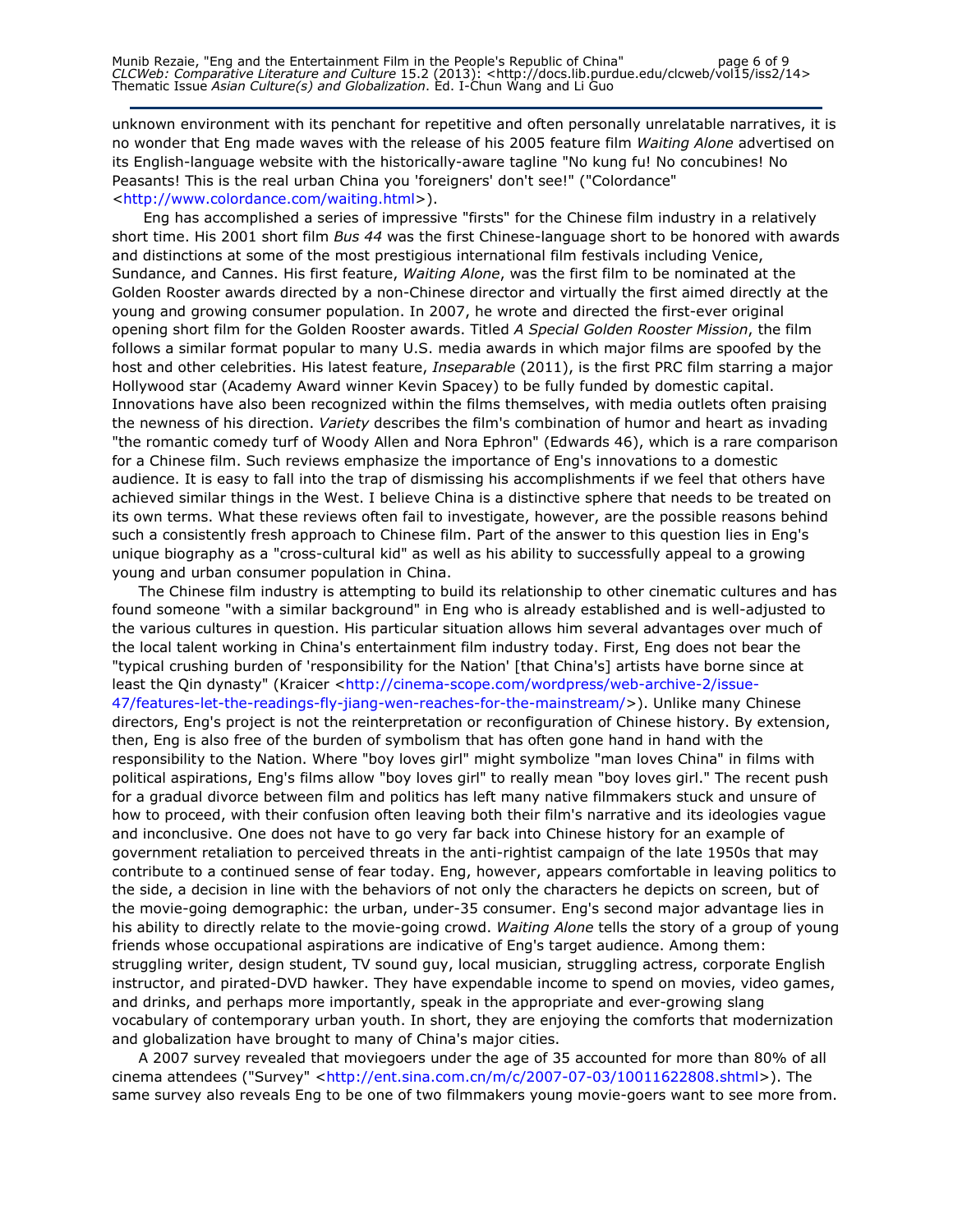unknown environment with its penchant for repetitive and often personally unrelatable narratives, it is no wonder that Eng made waves with the release of his 2005 feature film Waiting Alone advertised on its English-language website with the historically-aware tagline "No kung fu! No concubines! No Peasants! This is the real urban China you 'foreigners' don't see!" ("Colordance" <http://www.colordance.com/waiting.html>).

 Eng has accomplished a series of impressive "firsts" for the Chinese film industry in a relatively short time. His 2001 short film Bus 44 was the first Chinese-language short to be honored with awards and distinctions at some of the most prestigious international film festivals including Venice, Sundance, and Cannes. His first feature, Waiting Alone, was the first film to be nominated at the Golden Rooster awards directed by a non-Chinese director and virtually the first aimed directly at the young and growing consumer population. In 2007, he wrote and directed the first-ever original opening short film for the Golden Rooster awards. Titled A Special Golden Rooster Mission, the film follows a similar format popular to many U.S. media awards in which major films are spoofed by the host and other celebrities. His latest feature, Inseparable (2011), is the first PRC film starring a major Hollywood star (Academy Award winner Kevin Spacey) to be fully funded by domestic capital. Innovations have also been recognized within the films themselves, with media outlets often praising the newness of his direction. Variety describes the film's combination of humor and heart as invading "the romantic comedy turf of Woody Allen and Nora Ephron" (Edwards 46), which is a rare comparison for a Chinese film. Such reviews emphasize the importance of Eng's innovations to a domestic audience. It is easy to fall into the trap of dismissing his accomplishments if we feel that others have achieved similar things in the West. I believe China is a distinctive sphere that needs to be treated on its own terms. What these reviews often fail to investigate, however, are the possible reasons behind such a consistently fresh approach to Chinese film. Part of the answer to this question lies in Eng's unique biography as a "cross-cultural kid" as well as his ability to successfully appeal to a growing young and urban consumer population in China.

The Chinese film industry is attempting to build its relationship to other cinematic cultures and has found someone "with a similar background" in Eng who is already established and is well-adjusted to the various cultures in question. His particular situation allows him several advantages over much of the local talent working in China's entertainment film industry today. First, Eng does not bear the "typical crushing burden of 'responsibility for the Nation' [that China's] artists have borne since at least the Qin dynasty" (Kraicer <http://cinema-scope.com/wordpress/web-archive-2/issue-47/features-let-the-readings-fly-jiang-wen-reaches-for-the-mainstream/>). Unlike many Chinese directors, Eng's project is not the reinterpretation or reconfiguration of Chinese history. By extension, then, Eng is also free of the burden of symbolism that has often gone hand in hand with the responsibility to the Nation. Where "boy loves girl" might symbolize "man loves China" in films with political aspirations, Eng's films allow "boy loves girl" to really mean "boy loves girl." The recent push for a gradual divorce between film and politics has left many native filmmakers stuck and unsure of how to proceed, with their confusion often leaving both their film's narrative and its ideologies vague and inconclusive. One does not have to go very far back into Chinese history for an example of government retaliation to perceived threats in the anti-rightist campaign of the late 1950s that may contribute to a continued sense of fear today. Eng, however, appears comfortable in leaving politics to the side, a decision in line with the behaviors of not only the characters he depicts on screen, but of the movie-going demographic: the urban, under-35 consumer. Eng's second major advantage lies in his ability to directly relate to the movie-going crowd. Waiting Alone tells the story of a group of young friends whose occupational aspirations are indicative of Eng's target audience. Among them: struggling writer, design student, TV sound guy, local musician, struggling actress, corporate English instructor, and pirated-DVD hawker. They have expendable income to spend on movies, video games, and drinks, and perhaps more importantly, speak in the appropriate and ever-growing slang vocabulary of contemporary urban youth. In short, they are enjoying the comforts that modernization and globalization have brought to many of China's major cities.

A 2007 survey revealed that moviegoers under the age of 35 accounted for more than 80% of all cinema attendees ("Survey" <http://ent.sina.com.cn/m/c/2007-07-03/10011622808.shtml>). The same survey also reveals Eng to be one of two filmmakers young movie-goers want to see more from.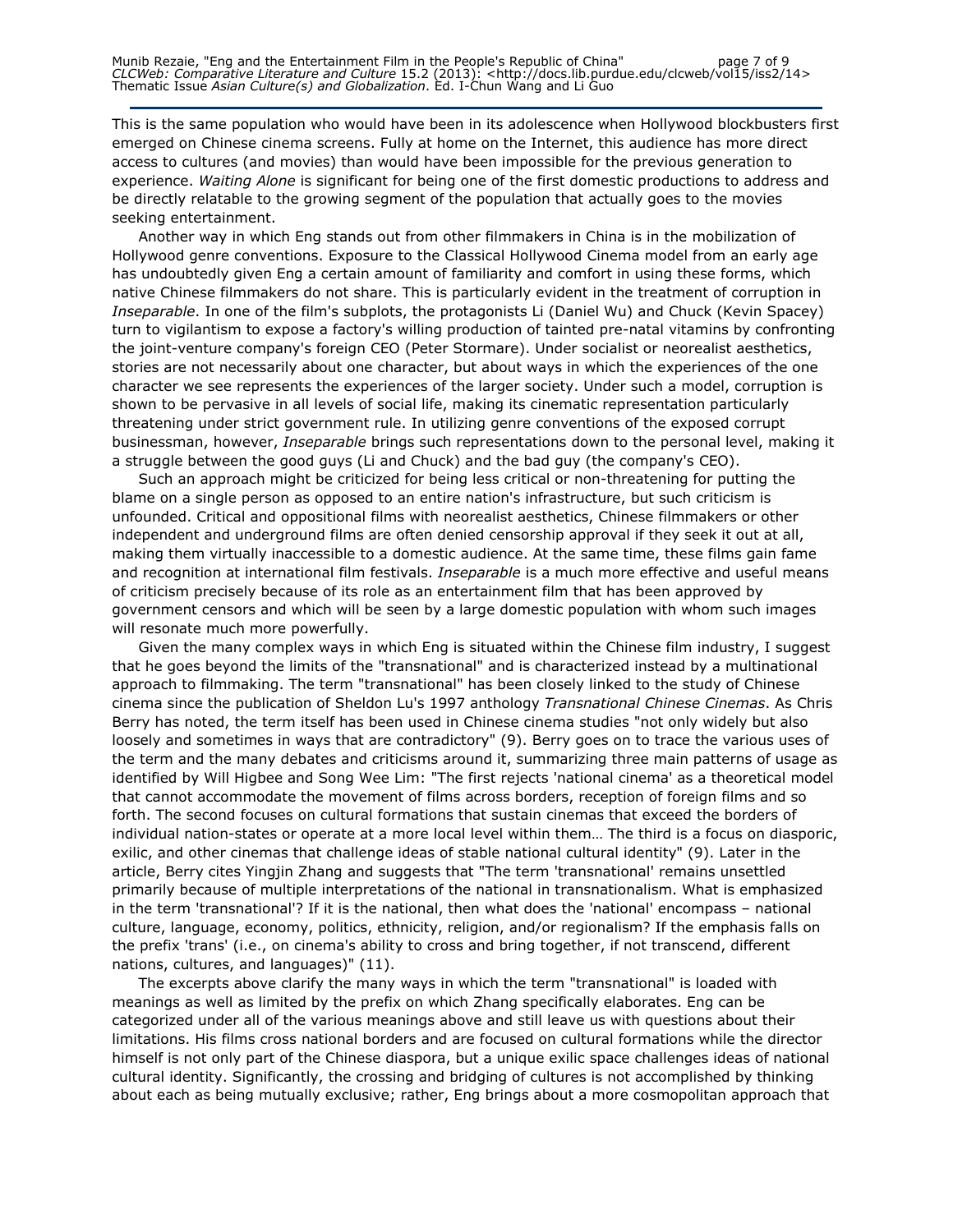This is the same population who would have been in its adolescence when Hollywood blockbusters first emerged on Chinese cinema screens. Fully at home on the Internet, this audience has more direct access to cultures (and movies) than would have been impossible for the previous generation to experience. Waiting Alone is significant for being one of the first domestic productions to address and be directly relatable to the growing segment of the population that actually goes to the movies seeking entertainment.

Another way in which Eng stands out from other filmmakers in China is in the mobilization of Hollywood genre conventions. Exposure to the Classical Hollywood Cinema model from an early age has undoubtedly given Eng a certain amount of familiarity and comfort in using these forms, which native Chinese filmmakers do not share. This is particularly evident in the treatment of corruption in Inseparable. In one of the film's subplots, the protagonists Li (Daniel Wu) and Chuck (Kevin Spacey) turn to vigilantism to expose a factory's willing production of tainted pre-natal vitamins by confronting the joint-venture company's foreign CEO (Peter Stormare). Under socialist or neorealist aesthetics, stories are not necessarily about one character, but about ways in which the experiences of the one character we see represents the experiences of the larger society. Under such a model, corruption is shown to be pervasive in all levels of social life, making its cinematic representation particularly threatening under strict government rule. In utilizing genre conventions of the exposed corrupt businessman, however, *Inseparable* brings such representations down to the personal level, making it a struggle between the good guys (Li and Chuck) and the bad guy (the company's CEO).

Such an approach might be criticized for being less critical or non-threatening for putting the blame on a single person as opposed to an entire nation's infrastructure, but such criticism is unfounded. Critical and oppositional films with neorealist aesthetics, Chinese filmmakers or other independent and underground films are often denied censorship approval if they seek it out at all, making them virtually inaccessible to a domestic audience. At the same time, these films gain fame and recognition at international film festivals. Inseparable is a much more effective and useful means of criticism precisely because of its role as an entertainment film that has been approved by government censors and which will be seen by a large domestic population with whom such images will resonate much more powerfully.

Given the many complex ways in which Eng is situated within the Chinese film industry, I suggest that he goes beyond the limits of the "transnational" and is characterized instead by a multinational approach to filmmaking. The term "transnational" has been closely linked to the study of Chinese cinema since the publication of Sheldon Lu's 1997 anthology Transnational Chinese Cinemas. As Chris Berry has noted, the term itself has been used in Chinese cinema studies "not only widely but also loosely and sometimes in ways that are contradictory" (9). Berry goes on to trace the various uses of the term and the many debates and criticisms around it, summarizing three main patterns of usage as identified by Will Higbee and Song Wee Lim: "The first rejects 'national cinema' as a theoretical model that cannot accommodate the movement of films across borders, reception of foreign films and so forth. The second focuses on cultural formations that sustain cinemas that exceed the borders of individual nation-states or operate at a more local level within them… The third is a focus on diasporic, exilic, and other cinemas that challenge ideas of stable national cultural identity" (9). Later in the article, Berry cites Yingjin Zhang and suggests that "The term 'transnational' remains unsettled primarily because of multiple interpretations of the national in transnationalism. What is emphasized in the term 'transnational'? If it is the national, then what does the 'national' encompass – national culture, language, economy, politics, ethnicity, religion, and/or regionalism? If the emphasis falls on the prefix 'trans' (i.e., on cinema's ability to cross and bring together, if not transcend, different nations, cultures, and languages)" (11).

The excerpts above clarify the many ways in which the term "transnational" is loaded with meanings as well as limited by the prefix on which Zhang specifically elaborates. Eng can be categorized under all of the various meanings above and still leave us with questions about their limitations. His films cross national borders and are focused on cultural formations while the director himself is not only part of the Chinese diaspora, but a unique exilic space challenges ideas of national cultural identity. Significantly, the crossing and bridging of cultures is not accomplished by thinking about each as being mutually exclusive; rather, Eng brings about a more cosmopolitan approach that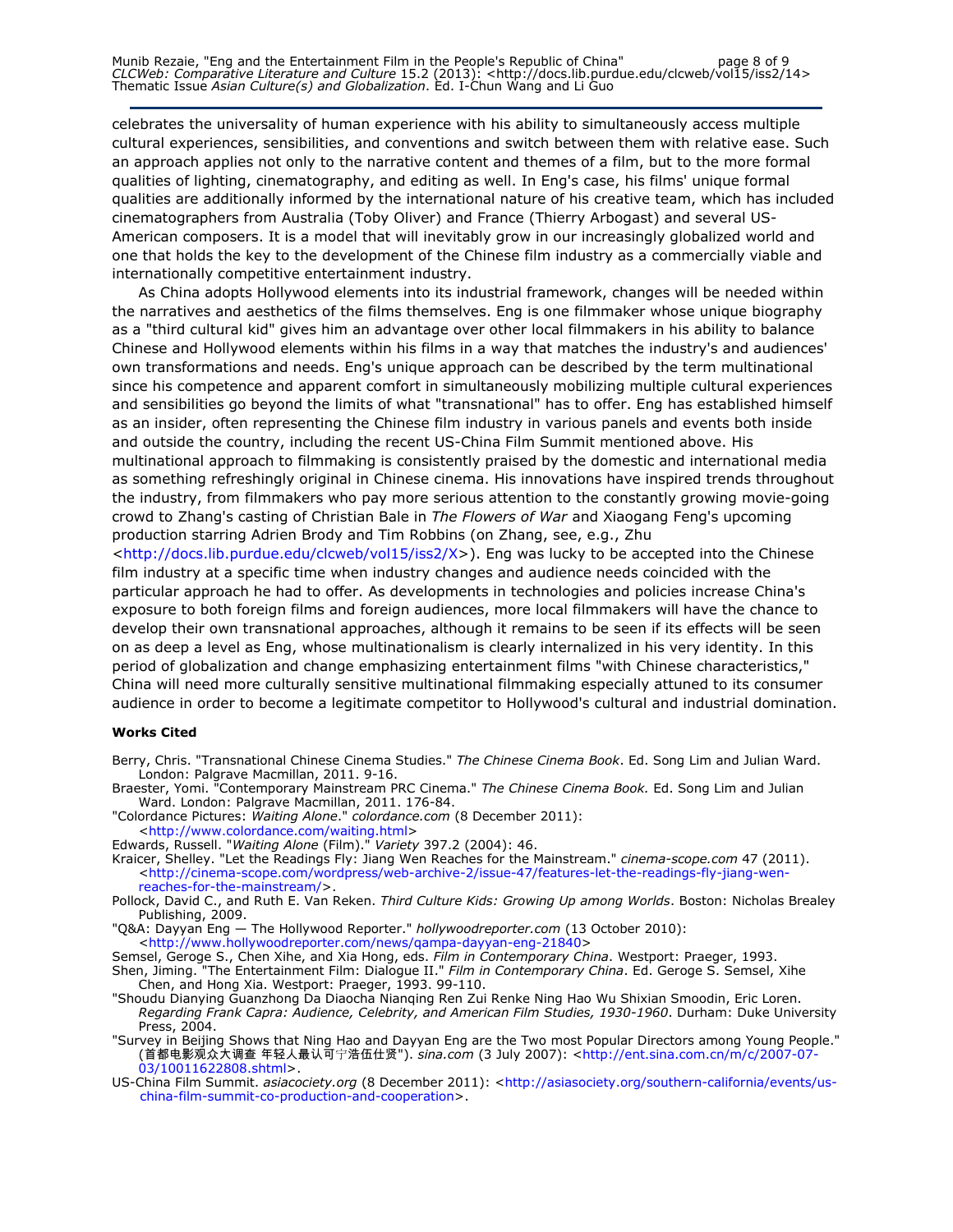celebrates the universality of human experience with his ability to simultaneously access multiple cultural experiences, sensibilities, and conventions and switch between them with relative ease. Such an approach applies not only to the narrative content and themes of a film, but to the more formal qualities of lighting, cinematography, and editing as well. In Eng's case, his films' unique formal qualities are additionally informed by the international nature of his creative team, which has included cinematographers from Australia (Toby Oliver) and France (Thierry Arbogast) and several US-American composers. It is a model that will inevitably grow in our increasingly globalized world and one that holds the key to the development of the Chinese film industry as a commercially viable and internationally competitive entertainment industry.

As China adopts Hollywood elements into its industrial framework, changes will be needed within the narratives and aesthetics of the films themselves. Eng is one filmmaker whose unique biography as a "third cultural kid" gives him an advantage over other local filmmakers in his ability to balance Chinese and Hollywood elements within his films in a way that matches the industry's and audiences' own transformations and needs. Eng's unique approach can be described by the term multinational since his competence and apparent comfort in simultaneously mobilizing multiple cultural experiences and sensibilities go beyond the limits of what "transnational" has to offer. Eng has established himself as an insider, often representing the Chinese film industry in various panels and events both inside and outside the country, including the recent US-China Film Summit mentioned above. His multinational approach to filmmaking is consistently praised by the domestic and international media as something refreshingly original in Chinese cinema. His innovations have inspired trends throughout the industry, from filmmakers who pay more serious attention to the constantly growing movie-going crowd to Zhang's casting of Christian Bale in The Flowers of War and Xiaogang Feng's upcoming production starring Adrien Brody and Tim Robbins (on Zhang, see, e.g., Zhu

<http://docs.lib.purdue.edu/clcweb/vol15/iss2/X>). Eng was lucky to be accepted into the Chinese film industry at a specific time when industry changes and audience needs coincided with the particular approach he had to offer. As developments in technologies and policies increase China's exposure to both foreign films and foreign audiences, more local filmmakers will have the chance to develop their own transnational approaches, although it remains to be seen if its effects will be seen on as deep a level as Eng, whose multinationalism is clearly internalized in his very identity. In this period of globalization and change emphasizing entertainment films "with Chinese characteristics," China will need more culturally sensitive multinational filmmaking especially attuned to its consumer audience in order to become a legitimate competitor to Hollywood's cultural and industrial domination.

#### Works Cited

- Berry, Chris. "Transnational Chinese Cinema Studies." The Chinese Cinema Book. Ed. Song Lim and Julian Ward. London: Palgrave Macmillan, 2011. 9-16.
- Braester, Yomi. "Contemporary Mainstream PRC Cinema." The Chinese Cinema Book. Ed. Song Lim and Julian Ward. London: Palgrave Macmillan, 2011. 176-84.
- "Colordance Pictures: Waiting Alone." colordance.com (8 December 2011):
	- <http://www.colordance.com/waiting.html>
- Edwards, Russell. "*Waiting Alone* (Film)." *Variety* 397.2 (2004): 46.
- Kraicer, Shelley. "Let the Readings Fly: Jiang Wen Reaches for the Mainstream." cinema-scope.com 47 (2011). <http://cinema-scope.com/wordpress/web-archive-2/issue-47/features-let-the-readings-fly-jiang-wenreaches-for-the-mainstream/>.
- Pollock, David C., and Ruth E. Van Reken. Third Culture Kids: Growing Up among Worlds. Boston: Nicholas Brealey Publishing, 2009.
- "Q&A: Dayyan Eng The Hollywood Reporter." hollywoodreporter.com (13 October 2010):
- <http://www.hollywoodreporter.com/news/qampa-dayyan-eng-21840>
- Semsel, Geroge S., Chen Xihe, and Xia Hong, eds. Film in Contemporary China. Westport: Praeger, 1993.
- Shen, Jiming. "The Entertainment Film: Dialogue II." Film in Contemporary China. Ed. Geroge S. Semsel, Xihe Chen, and Hong Xia. Westport: Praeger, 1993. 99-110.
- "Shoudu Dianying Guanzhong Da Diaocha Nianqing Ren Zui Renke Ning Hao Wu Shixian Smoodin, Eric Loren. Regarding Frank Capra: Audience, Celebrity, and American Film Studies, 1930-1960. Durham: Duke University Press, 2004.
- "Survey in Beijing Shows that Ning Hao and Dayyan Eng are the Two most Popular Directors among Young People." (首都电影观众大调查 年轻人最认可宁浩伍仕贤"). *sina.com* (3 July 2007): <http://ent.sina.com.cn/m/c/2007-07-03/10011622808.shtml>.
- US-China Film Summit. asiacociety.org (8 December 2011): <http://asiasociety.org/southern-california/events/uschina-film-summit-co-production-and-cooperation>.